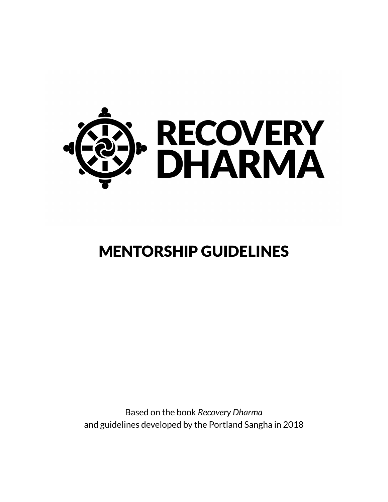

# MENTORSHIP GUIDELINES

Based on the book *Recovery Dharma*  and guidelines developed by the Portland Sangha in 2018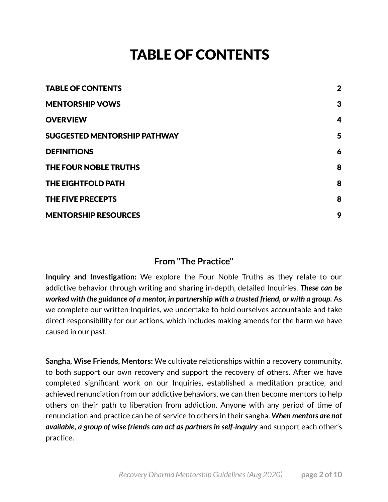## <span id="page-1-0"></span>TABLE OF CONTENTS

| <b>TABLE OF CONTENTS</b>            | $\mathbf{2}$ |
|-------------------------------------|--------------|
| <b>MENTORSHIP VOWS</b>              | 3            |
| <b>OVERVIEW</b>                     | 4            |
| <b>SUGGESTED MENTORSHIP PATHWAY</b> | 5            |
| <b>DEFINITIONS</b>                  | 6            |
| THE FOUR NOBLE TRUTHS               | 8            |
| <b>THE EIGHTFOLD PATH</b>           | 8            |
| THE FIVE PRECEPTS                   | 8            |
| <b>MENTORSHIP RESOURCES</b>         | 9            |

### **From "The Practice"**

**Inquiry and Investigation:** We explore the Four Noble Truths as they relate to our addictive behavior through writing and sharing in-depth, detailed Inquiries. *These can be worked with the guidance of a mentor, in partnership with a trusted friend, or with a group.* As we complete our written Inquiries, we undertake to hold ourselves accountable and take direct responsibility for our actions, which includes making amends for the harm we have caused in our past.

**Sangha, Wise Friends, Mentors:** We cultivate relationships within a recovery community, to both support our own recovery and support the recovery of others. After we have completed significant work on our Inquiries, established a meditation practice, and achieved renunciation from our addictive behaviors, we can then become mentors to help others on their path to liberation from addiction. Anyone with any period of time of renunciation and practice can be of service to others in their sangha. *When mentors are not available, a group of wise friends can act as partners in self-inquiry and support each other's* practice.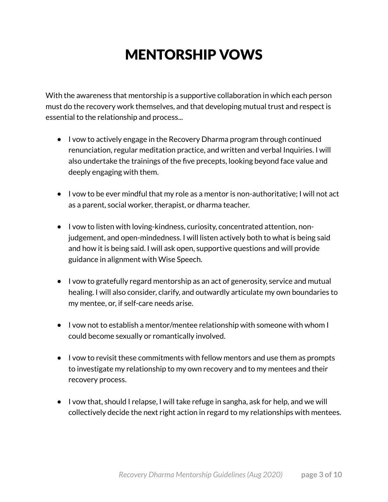## <span id="page-2-0"></span>MENTORSHIP VOWS

With the awareness that mentorship is a supportive collaboration in which each person must do the recovery work themselves, and that developing mutual trust and respect is essential to the relationship and process...

- I vow to actively engage in the Recovery Dharma program through continued renunciation, regular meditation practice, and written and verbal Inquiries. I will also undertake the trainings of the five precepts, looking beyond face value and deeply engaging with them.
- I vow to be ever mindful that my role as a mentor is non-authoritative; I will not act as a parent, social worker, therapist, or dharma teacher.
- I vow to listen with loving-kindness, curiosity, concentrated attention, nonjudgement, and open-mindedness. I will listen actively both to what is being said and how it is being said. I will ask open, supportive questions and will provide guidance in alignment with Wise Speech.
- I vow to gratefully regard mentorship as an act of generosity, service and mutual healing. I will also consider, clarify, and outwardly articulate my own boundaries to my mentee, or, if self-care needs arise.
- I vow not to establish a mentor/mentee relationship with someone with whom I could become sexually or romantically involved.
- I vow to revisit these commitments with fellow mentors and use them as prompts to investigate my relationship to my own recovery and to my mentees and their recovery process.
- I vow that, should I relapse, I will take refuge in sangha, ask for help, and we will collectively decide the next right action in regard to my relationships with mentees.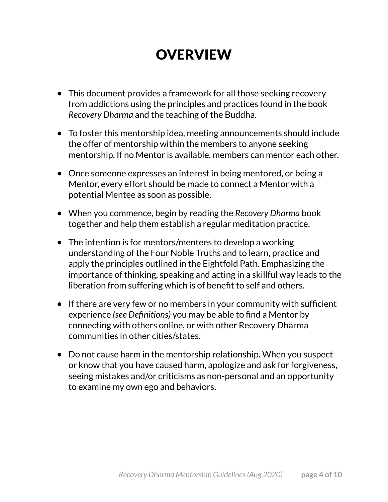## <span id="page-3-0"></span>**OVERVIEW**

- This document provides a framework for all those seeking recovery from addictions using the principles and practices found in the book *Recovery Dharma* and the teaching of the Buddha.
- To foster this mentorship idea, meeting announcements should include the offer of mentorship within the members to anyone seeking mentorship. If no Mentor is available, members can mentor each other.
- Once someone expresses an interest in being mentored, or being a Mentor, every effort should be made to connect a Mentor with a potential Mentee as soon as possible.
- When you commence, begin by reading the *Recovery Dharma* book together and help them establish a regular meditation practice.
- The intention is for mentors/mentees to develop a working understanding of the Four Noble Truths and to learn, practice and apply the principles outlined in the Eightfold Path. Emphasizing the importance of thinking, speaking and acting in a skillful way leads to the liberation from suffering which is of benefit to self and others.
- If there are very few or no members in your community with sufficient experience *(see Definitions)* you may be able to find a Mentor by connecting with others online, or with other Recovery Dharma communities in other cities/states.
- Do not cause harm in the mentorship relationship. When you suspect or know that you have caused harm, apologize and ask for forgiveness, seeing mistakes and/or criticisms as non-personal and an opportunity to examine my own ego and behaviors.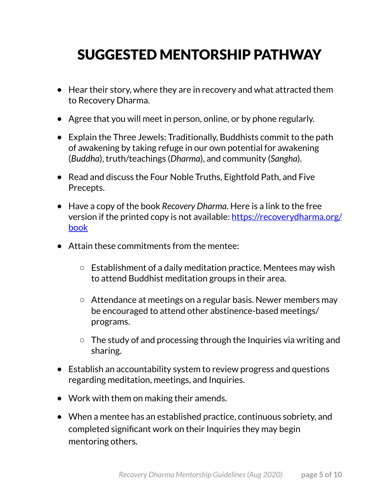## <span id="page-4-0"></span>SUGGESTED MENTORSHIP PATHWAY

- Hear their story, where they are in recovery and what attracted them to Recovery Dharma.
- Agree that you will meet in person, online, or by phone regularly.
- Explain the Three Jewels: Traditionally, Buddhists commit to the path of awakening by taking refuge in our own potential for awakening (*Buddha*), truth/teachings (*Dharma*), and community (*Sangha*).
- Read and discuss the Four Noble Truths, Eightfold Path, and Five Precepts.
- Have a copy of the book *Recovery Dharma*. Here is a link to the free version if the printed copy is not available: [https://recoverydharma.org/](https://recoverydharma.org/book) [book](https://recoverydharma.org/book)
- Attain these commitments from the mentee:
	- Establishment of a daily meditation practice. Mentees may wish to attend Buddhist meditation groups in their area.
	- Attendance at meetings on a regular basis. Newer members may be encouraged to attend other abstinence-based meetings/ programs.
	- The study of and processing through the Inquiries via writing and sharing.
- Establish an accountability system to review progress and questions regarding meditation, meetings, and Inquiries.
- Work with them on making their amends.
- When a mentee has an established practice, continuous sobriety, and completed significant work on their Inquiries they may begin mentoring others.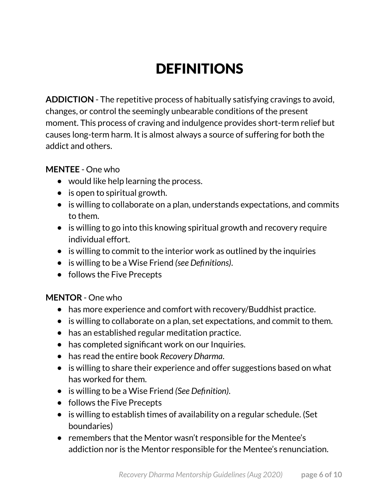# <span id="page-5-0"></span>**DEFINITIONS**

**ADDICTION** - The repetitive process of habitually satisfying cravings to avoid, changes, or control the seemingly unbearable conditions of the present moment. This process of craving and indulgence provides short-term relief but causes long-term harm. It is almost always a source of suffering for both the addict and others.

### **MENTEE** - One who

- would like help learning the process.
- is open to spiritual growth.
- is willing to collaborate on a plan, understands expectations, and commits to them.
- is willing to go into this knowing spiritual growth and recovery require individual effort.
- is willing to commit to the interior work as outlined by the inquiries
- is willing to be a Wise Friend *(see Definitions)*.
- follows the Five Precepts

### **MENTOR** - One who

- has more experience and comfort with recovery/Buddhist practice.
- is willing to collaborate on a plan, set expectations, and commit to them.
- has an established regular meditation practice.
- has completed significant work on our Inquiries.
- has read the entire book *Recovery Dharma*.
- is willing to share their experience and offer suggestions based on what has worked for them.
- is willing to be a Wise Friend *(See Definition)*.
- follows the Five Precepts
- is willing to establish times of availability on a regular schedule. (Set boundaries)
- remembers that the Mentor wasn't responsible for the Mentee's addiction nor is the Mentor responsible for the Mentee's renunciation.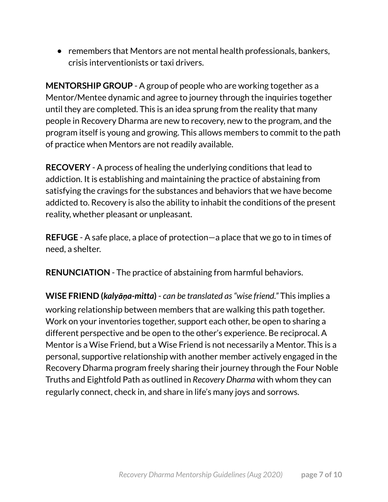● remembers that Mentors are not mental health professionals, bankers, crisis interventionists or taxi drivers.

**MENTORSHIP GROUP** - A group of people who are working together as a Mentor/Mentee dynamic and agree to journey through the inquiries together until they are completed. This is an idea sprung from the reality that many people in Recovery Dharma are new to recovery, new to the program, and the program itself is young and growing. This allows members to commit to the path of practice when Mentors are not readily available.

**RECOVERY** - A process of healing the underlying conditions that lead to addiction. It is establishing and maintaining the practice of abstaining from satisfying the cravings for the substances and behaviors that we have become addicted to. Recovery is also the ability to inhabit the conditions of the present reality, whether pleasant or unpleasant.

**REFUGE** - A safe place, a place of protection—a place that we go to in times of need, a shelter.

**RENUNCIATION** - The practice of abstaining from harmful behaviors.

**WISE FRIEND (***kalyāṇa-mitta***)** - *can be translated as "wise friend."* This implies a working relationship between members that are walking this path together. Work on your inventories together, support each other, be open to sharing a different perspective and be open to the other's experience. Be reciprocal. A Mentor is a Wise Friend, but a Wise Friend is not necessarily a Mentor. This is a personal, supportive relationship with another member actively engaged in the Recovery Dharma program freely sharing their journey through the Four Noble Truths and Eightfold Path as outlined in *Recovery Dharma* with whom they can regularly connect, check in, and share in life's many joys and sorrows.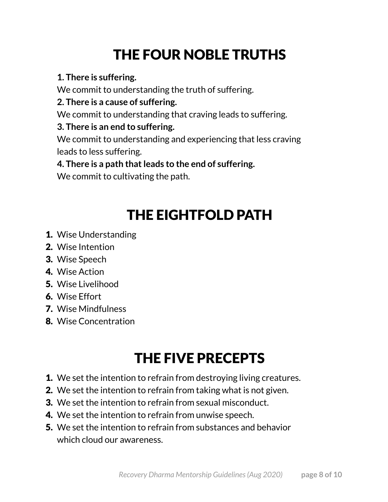# <span id="page-7-0"></span>THE FOUR NOBLE TRUTHS

## **1. There is suffering.**

We commit to understanding the truth of suffering.

## **2. There is a cause of suffering.**

We commit to understanding that craving leads to suffering.

## **3. There is an end to suffering.**

We commit to understanding and experiencing that less craving leads to less suffering.

## **4. There is a path that leads to the end of suffering.**

We commit to cultivating the path.

# <span id="page-7-1"></span>THE EIGHTFOLD PATH

- 1. Wise Understanding
- 2. Wise Intention
- 3. Wise Speech
- 4. Wise Action
- 5. Wise Livelihood
- 6. Wise Effort
- 7. Wise Mindfulness
- 8. Wise Concentration

# <span id="page-7-2"></span>THE FIVE PRECEPTS

- **1.** We set the intention to refrain from destroying living creatures.
- 2. We set the intention to refrain from taking what is not given.
- **3.** We set the intention to refrain from sexual misconduct.
- 4. We set the intention to refrain from unwise speech.
- 5. We set the intention to refrain from substances and behavior which cloud our awareness.